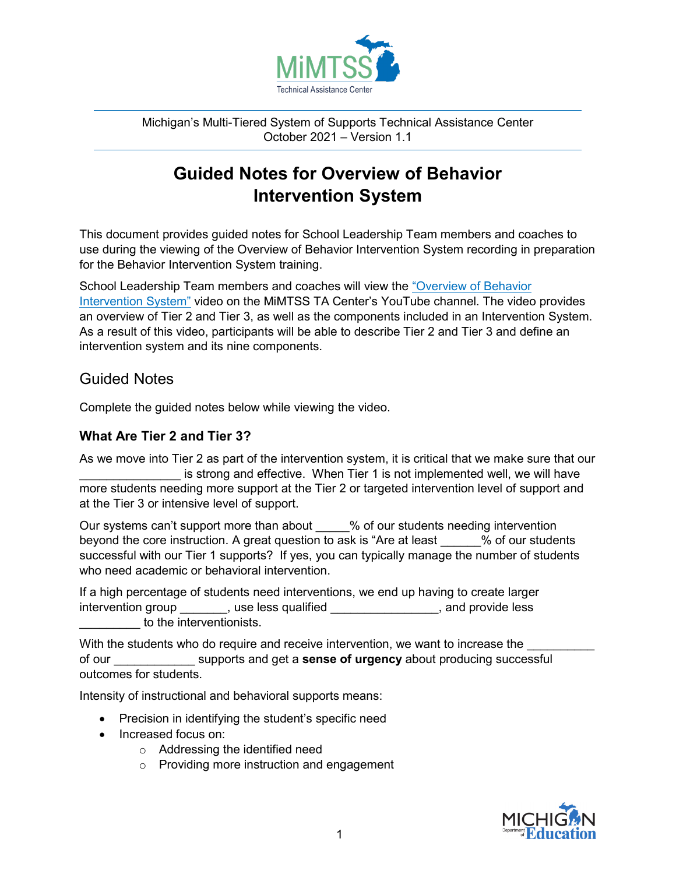

Michigan's Multi-Tiered System of Supports Technical Assistance Center October 2021 – Version 1.1

# **Guided Notes for Overview of Behavior Intervention System**

This document provides guided notes for School Leadership Team members and coaches to use during the viewing of the Overview of Behavior Intervention System recording in preparation for the Behavior Intervention System training.

School Leadership Team members and coaches will view the ["Overview of Behavior](https://www.youtube.com/watch?v=WOVXLO3mR_c)  [Intervention System"](https://www.youtube.com/watch?v=WOVXLO3mR_c) video on the MiMTSS TA Center's YouTube channel. The video provides an overview of Tier 2 and Tier 3, as well as the components included in an Intervention System. As a result of this video, participants will be able to describe Tier 2 and Tier 3 and define an intervention system and its nine components.

## Guided Notes

Complete the guided notes below while viewing the video.

### **What Are Tier 2 and Tier 3?**

As we move into Tier 2 as part of the intervention system, it is critical that we make sure that our is strong and effective. When Tier 1 is not implemented well, we will have more students needing more support at the Tier 2 or targeted intervention level of support and at the Tier 3 or intensive level of support.

Our systems can't support more than about  $\frac{1}{2}$  % of our students needing intervention beyond the core instruction. A great question to ask is "Are at least  $\%$  of our students successful with our Tier 1 supports? If yes, you can typically manage the number of students who need academic or behavioral intervention.

If a high percentage of students need interventions, we end up having to create larger intervention group example is a section of the set of the set of the set of the set of the set of the set of t to the interventionists.

With the students who do require and receive intervention, we want to increase the of our \_\_\_\_\_\_\_\_\_\_\_\_ supports and get a **sense of urgency** about producing successful outcomes for students.

Intensity of instructional and behavioral supports means:

- Precision in identifying the student's specific need
- Increased focus on:
	- o Addressing the identified need
	- o Providing more instruction and engagement

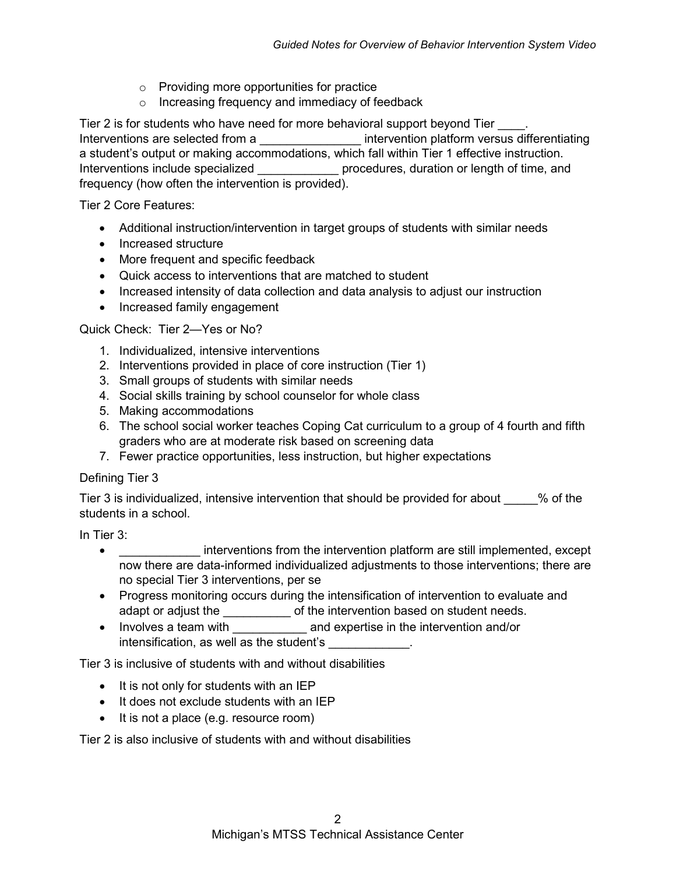- o Providing more opportunities for practice
- o Increasing frequency and immediacy of feedback

Tier 2 is for students who have need for more behavioral support beyond Tier  $\qquad \qquad$ . Interventions are selected from a **Exercise 1** intervention platform versus differentiating a student's output or making accommodations, which fall within Tier 1 effective instruction. Interventions include specialized **Exercise 1** procedures, duration or length of time, and frequency (how often the intervention is provided).

Tier 2 Core Features:

- Additional instruction/intervention in target groups of students with similar needs
- Increased structure
- More frequent and specific feedback
- Quick access to interventions that are matched to student
- Increased intensity of data collection and data analysis to adjust our instruction
- Increased family engagement

Quick Check: Tier 2—Yes or No?

- 1. Individualized, intensive interventions
- 2. Interventions provided in place of core instruction (Tier 1)
- 3. Small groups of students with similar needs
- 4. Social skills training by school counselor for whole class
- 5. Making accommodations
- 6. The school social worker teaches Coping Cat curriculum to a group of 4 fourth and fifth graders who are at moderate risk based on screening data
- 7. Fewer practice opportunities, less instruction, but higher expectations

#### Defining Tier 3

Tier 3 is individualized, intensive intervention that should be provided for about \_\_\_\_\_% of the students in a school.

In Tier 3:

- interventions from the intervention platform are still implemented, except now there are data-informed individualized adjustments to those interventions; there are no special Tier 3 interventions, per se
- Progress monitoring occurs during the intensification of intervention to evaluate and adapt or adjust the \_\_\_\_\_\_\_\_\_\_\_\_ of the intervention based on student needs.
- Involves a team with **the and expertise in the intervention and/or** intensification, as well as the student's

Tier 3 is inclusive of students with and without disabilities

- It is not only for students with an IEP
- It does not exclude students with an IEP
- It is not a place (e.g. resource room)

Tier 2 is also inclusive of students with and without disabilities